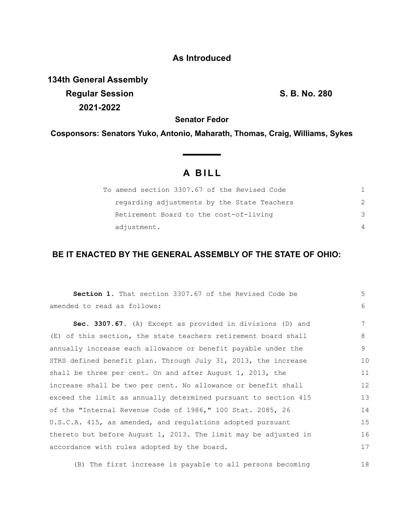## **As Introduced**

**134th General Assembly Regular Session S. B. No. 280 2021-2022**

**Senator Fedor**

**Cosponsors: Senators Yuko, Antonio, Maharath, Thomas, Craig, Williams, Sykes**

## **A B I L L**

| To amend section 3307.67 of the Revised Code |  |
|----------------------------------------------|--|
| regarding adjustments by the State Teachers  |  |
| Retirement Board to the cost-of-living       |  |
| adjustment.                                  |  |

## **BE IT ENACTED BY THE GENERAL ASSEMBLY OF THE STATE OF OHIO:**

| Section 1. That section 3307.67 of the Revised Code be          | 5  |
|-----------------------------------------------------------------|----|
| amended to read as follows:                                     | 6  |
| Sec. 3307.67. (A) Except as provided in divisions (D) and       | 7  |
| (E) of this section, the state teachers retirement board shall  | 8  |
| annually increase each allowance or benefit payable under the   | 9  |
| STRS defined benefit plan. Through July 31, 2013, the increase  | 10 |
| shall be three per cent. On and after August 1, 2013, the       | 11 |
| increase shall be two per cent. No allowance or benefit shall   | 12 |
| exceed the limit as annually determined pursuant to section 415 | 13 |
| of the "Internal Revenue Code of 1986," 100 Stat. 2085, 26      | 14 |
| U.S.C.A. 415, as amended, and regulations adopted pursuant      | 15 |
| thereto but before August 1, 2013. The limit may be adjusted in | 16 |
| accordance with rules adopted by the board.                     | 17 |
|                                                                 |    |

(B) The first increase is payable to all persons becoming 18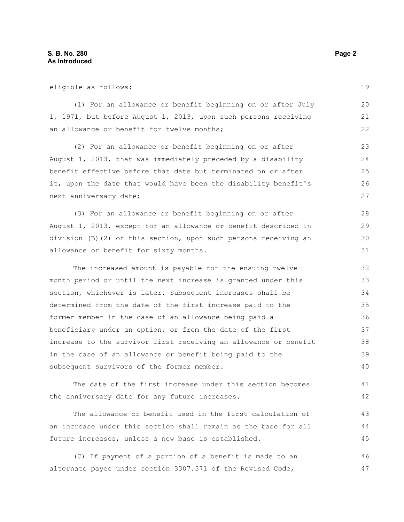| eligible as follows:                                             | 19 |
|------------------------------------------------------------------|----|
| (1) For an allowance or benefit beginning on or after July       | 20 |
| 1, 1971, but before August 1, 2013, upon such persons receiving  | 21 |
| an allowance or benefit for twelve months;                       | 22 |
| (2) For an allowance or benefit beginning on or after            | 23 |
| August 1, 2013, that was immediately preceded by a disability    | 24 |
| benefit effective before that date but terminated on or after    | 25 |
| it, upon the date that would have been the disability benefit's  | 26 |
| next anniversary date;                                           | 27 |
| (3) For an allowance or benefit beginning on or after            | 28 |
| August 1, 2013, except for an allowance or benefit described in  | 29 |
| division (B)(2) of this section, upon such persons receiving an  | 30 |
| allowance or benefit for sixty months.                           | 31 |
| The increased amount is payable for the ensuing twelve-          | 32 |
| month period or until the next increase is granted under this    | 33 |
| section, whichever is later. Subsequent increases shall be       | 34 |
| determined from the date of the first increase paid to the       | 35 |
| former member in the case of an allowance being paid a           | 36 |
| beneficiary under an option, or from the date of the first       | 37 |
| increase to the survivor first receiving an allowance or benefit | 38 |
| in the case of an allowance or benefit being paid to the         | 39 |
| subsequent survivors of the former member.                       | 40 |
| The date of the first increase under this section becomes        | 41 |
| the anniversary date for any future increases.                   | 42 |
| The allowance or benefit used in the first calculation of        | 43 |
| an increase under this section shall remain as the base for all  | 44 |

(C) If payment of a portion of a benefit is made to an alternate payee under section 3307.371 of the Revised Code, 46 47

future increases, unless a new base is established.

45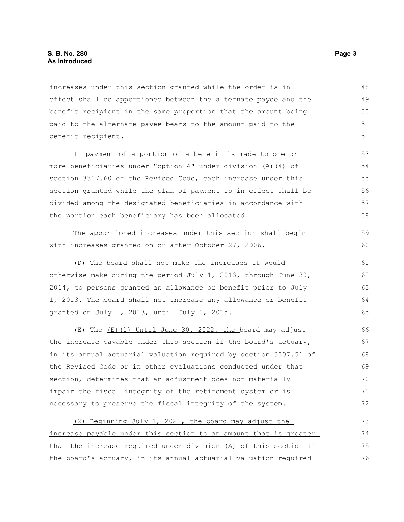increases under this section granted while the order is in effect shall be apportioned between the alternate payee and the benefit recipient in the same proportion that the amount being paid to the alternate payee bears to the amount paid to the benefit recipient. 48 49 50 51 52

If payment of a portion of a benefit is made to one or more beneficiaries under "option 4" under division (A)(4) of section 3307.60 of the Revised Code, each increase under this section granted while the plan of payment is in effect shall be divided among the designated beneficiaries in accordance with the portion each beneficiary has been allocated. 53 54 55 56 57 58

The apportioned increases under this section shall begin with increases granted on or after October 27, 2006. 59 60

(D) The board shall not make the increases it would otherwise make during the period July 1, 2013, through June 30, 2014, to persons granted an allowance or benefit prior to July 1, 2013. The board shall not increase any allowance or benefit granted on July 1, 2013, until July 1, 2015. 61 62 63 64 65

(E) The (E)(1) Until June 30, 2022, the board may adjust the increase payable under this section if the board's actuary, in its annual actuarial valuation required by section 3307.51 of the Revised Code or in other evaluations conducted under that section, determines that an adjustment does not materially impair the fiscal integrity of the retirement system or is necessary to preserve the fiscal integrity of the system. 66 67 68 69 70 71 72

(2) Beginning July 1, 2022, the board may adjust the increase payable under this section to an amount that is greater than the increase required under division (A) of this section if the board's actuary, in its annual actuarial valuation required 73 74 75 76